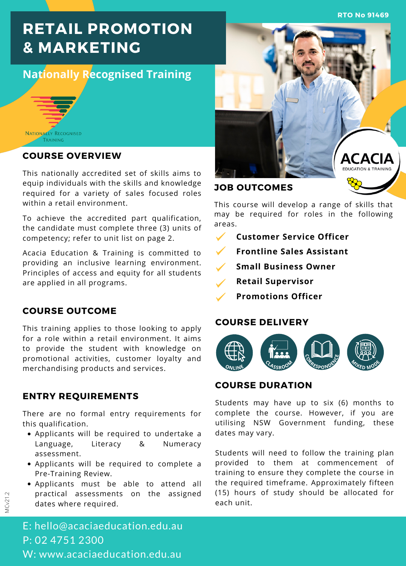**RTO No 91469**

# **RETAIL PROMOTION & MARKETING**

# **Nationally Recognised Training**



#### **COURSE OVERVIEW**

This nationally accredited set of skills aims to equip individuals with the skills and knowledge required for a variety of sales focused roles within a retail environment.

To achieve the accredited part qualification, the candidate must complete three (3) units of competency; refer to unit list on page 2.

Acacia Education & Training is committed to providing an inclusive learning environment. Principles of access and equity for all students are applied in all programs.

# **COURSE OUTCOME**

This training applies to those looking to apply for a role within a retail environment. It aims to provide the student with knowledge on promotional activities, customer loyalty and merchandising products and services.

### **ENTRY REQUIREMENTS**

There are no formal entry requirements for this qualification.

- Applicants will be required to undertake a Language, Literacy & Numeracy assessment.
- Applicants will be required to complete a Pre-Training Review.
- Applicants must be able to attend all practical assessments on the assigned dates where required.



## **JOB OUTCOMES**

This course will develop a range of skills that may be required for roles in the following areas.

- **Customer Service Officer**
- **Frontline Sales Assistant**
- **Small Business Owner**
- **Retail Supervisor**
- **Promotions Officer**

#### **COURSE DELIVERY**



## **COURSE DURATION**

Students may have up to six (6) months to complete the course. However, if you are utilising NSW Government funding, these dates may vary.

Students will need to follow the training plan provided to them at commencement of training to ensure they complete the course in the required timeframe. Approximately fifteen (15) hours of study should be allocated for each unit.

E: hello@acaciaeducation.edu.au P: 02 4751 2300 W: www.acaciaeducation.edu.au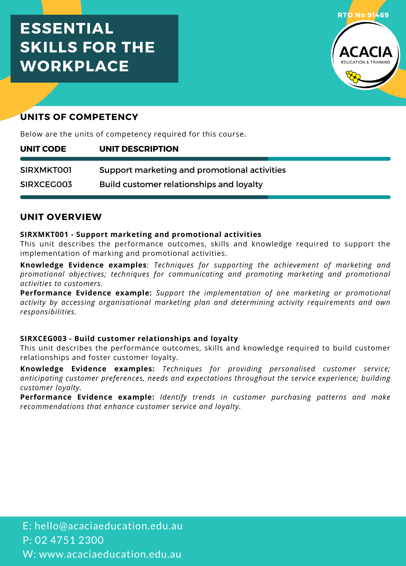# **ESSENTIAL SKILLS FOR THE WORKPLACE**



# **UNITS OF COMPETENCY**

Below are the units of competency required for this course.

| UNIT CODE         | UNIT DESCRIPTION                             |
|-------------------|----------------------------------------------|
| <b>SIRXMKTOO1</b> | Support marketing and promotional activities |
| <b>SIRXCEG003</b> | Build customer relationships and loyalty     |

# **UNIT OVERVIEW**

#### **SIRXMKT001 - Support marketing and promotional activities**

This unit describes the performance outcomes, skills and knowledge required to support the implementation of marking and promotional activities.

**Knowledge Evidence examples**: *Techniques for supporting the achievement of marketing and promotional objectives; techniques for communicating and promoting marketing and promotional activities to customers.*

**Performance Evidence example:** *Support the implementation of one marketing or promotional activity by accessing organisational marketing plan and determining activity requirements and own responsibilities.*

#### **SIRXCEG003 - Build customer relationships and loyalty**

This unit describes the performance outcomes, skills and knowledge required to build customer relationships and foster customer loyalty.

**Knowledge Evidence examples:** *Techniques for providing personalised customer service; anticipating customer preferences, needs and expectations throughout the service experience; building customer loyalty.*

**Performance Evidence example:** *Identify trends in customer purchasing patterns and make recommendations that enhance customer service and loyalty.*